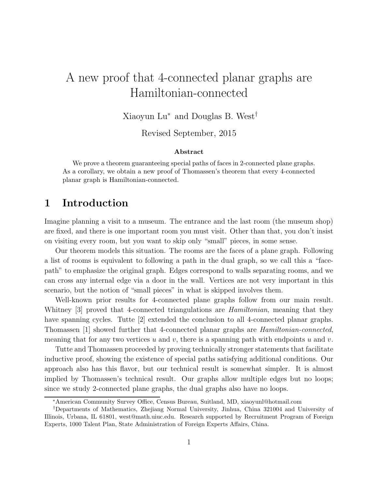# A new proof that 4-connected planar graphs are Hamiltonian-connected

Xiaoyun Lu<sup>∗</sup> and Douglas B. West†

Revised September, 2015

#### Abstract

We prove a theorem guaranteeing special paths of faces in 2-connected plane graphs. As a corollary, we obtain a new proof of Thomassen's theorem that every 4-connected planar graph is Hamiltonian-connected.

# 1 Introduction

Imagine planning a visit to a museum. The entrance and the last room (the museum shop) are fixed, and there is one important room you must visit. Other than that, you don't insist on visiting every room, but you want to skip only "small" pieces, in some sense.

Our theorem models this situation. The rooms are the faces of a plane graph. Following a list of rooms is equivalent to following a path in the dual graph, so we call this a "facepath" to emphasize the original graph. Edges correspond to walls separating rooms, and we can cross any internal edge via a door in the wall. Vertices are not very important in this scenario, but the notion of "small pieces" in what is skipped involves them.

Well-known prior results for 4-connected plane graphs follow from our main result. Whitney [3] proved that 4-connected triangulations are *Hamiltonian*, meaning that they have spanning cycles. Tutte [2] extended the conclusion to all 4-connected planar graphs. Thomassen [1] showed further that 4-connected planar graphs are Hamiltonian-connected, meaning that for any two vertices u and v, there is a spanning path with endpoints u and v.

Tutte and Thomassen proceeded by proving technically stronger statements that facilitate inductive proof, showing the existence of special paths satisfying additional conditions. Our approach also has this flavor, but our technical result is somewhat simpler. It is almost implied by Thomassen's technical result. Our graphs allow multiple edges but no loops; since we study 2-connected plane graphs, the dual graphs also have no loops.

<sup>∗</sup>American Community Survey Office, Census Bureau, Suitland, MD, xiaoyunl@hotmail.com

<sup>†</sup>Departments of Mathematics, Zhejiang Normal University, Jinhua, China 321004 and University of Illinois, Urbana, IL 61801, west@math.uiuc.edu. Research supported by Recruitment Program of Foreign Experts, 1000 Talent Plan, State Administration of Foreign Experts Affairs, China.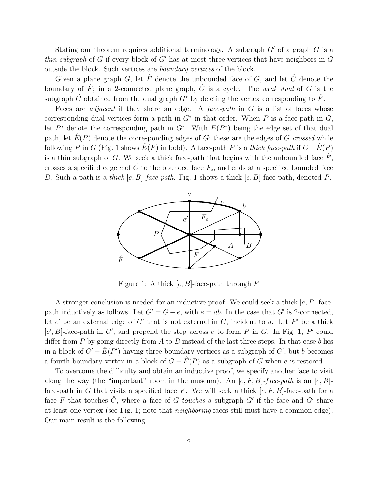Stating our theorem requires additional terminology. A subgraph  $G'$  of a graph  $G$  is a thin subgraph of G if every block of G' has at most three vertices that have neighbors in  $G$ outside the block. Such vertices are boundary vertices of the block.

Given a plane graph G, let  $\hat{F}$  denote the unbounded face of G, and let  $\hat{C}$  denote the boundary of  $\hat{F}$ ; in a 2-connected plane graph,  $\hat{C}$  is a cycle. The weak dual of G is the subgraph  $\hat{G}$  obtained from the dual graph  $G^*$  by deleting the vertex corresponding to  $\hat{F}$ .

Faces are *adjacent* if they share an edge. A *face-path* in  $G$  is a list of faces whose corresponding dual vertices form a path in  $G^*$  in that order. When P is a face-path in  $G$ , let  $P^*$  denote the corresponding path in  $G^*$ . With  $E(P^*)$  being the edge set of that dual path, let  $E(P)$  denote the corresponding edges of G; these are the edges of G crossed while following P in G (Fig. 1 shows  $E(P)$  in bold). A face-path P is a thick face-path if  $G-\hat{E}(P)$ is a thin subgraph of G. We seek a thick face-path that begins with the unbounded face  $\hat{F}$ , crosses a specified edge e of  $\hat{C}$  to the bounded face  $F_e$ , and ends at a specified bounded face B. Such a path is a thick  $[e, B]$ -face-path. Fig. 1 shows a thick  $[e, B]$ -face-path, denoted P.



Figure 1: A thick  $[e, B]$ -face-path through F

A stronger conclusion is needed for an inductive proof. We could seek a thick  $[e, B]$ -facepath inductively as follows. Let  $G' = G - e$ , with  $e = ab$ . In the case that G' is 2-connected, let  $e'$  be an external edge of  $G'$  that is not external in  $G$ , incident to  $a$ . Let  $P'$  be a thick  $[e', B]$ -face-path in G', and prepend the step across e to form P in G. In Fig. 1, P' could differ from  $P$  by going directly from  $A$  to  $B$  instead of the last three steps. In that case  $b$  lies in a block of  $G' - \hat{E}(P')$  having three boundary vertices as a subgraph of  $G'$ , but b becomes a fourth boundary vertex in a block of  $G - \hat{E}(P)$  as a subgraph of G when e is restored.

To overcome the difficulty and obtain an inductive proof, we specify another face to visit along the way (the "important" room in the museum). An  $[e, F, B]$ -face-path is an  $[e, B]$ face-path in G that visits a specified face F. We will seek a thick  $[e, F, B]$ -face-path for a face F that touches  $\hat{C}$ , where a face of G touches a subgraph G' if the face and G' share at least one vertex (see Fig. 1; note that neighboring faces still must have a common edge). Our main result is the following.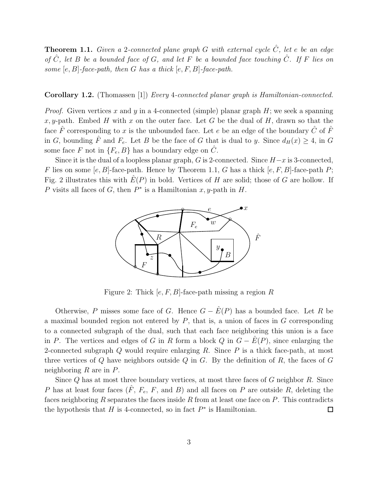**Theorem 1.1.** Given a 2-connected plane graph G with external cycle  $\hat{C}$ , let e be an edge of  $\hat{C}$ , let B be a bounded face of G, and let F be a bounded face touching  $\hat{C}$ . If F lies on some  $[e, B]$ -face-path, then G has a thick  $[e, F, B]$ -face-path.

#### Corollary 1.2. (Thomassen [1]) Every 4-connected planar graph is Hamiltonian-connected.

*Proof.* Given vertices x and y in a 4-connected (simple) planar graph  $H$ ; we seek a spanning x, y-path. Embed H with x on the outer face. Let G be the dual of H, drawn so that the face  $\hat{F}$  corresponding to x is the unbounded face. Let e be an edge of the boundary  $\hat{C}$  of  $\hat{F}$ in G, bounding  $\hat{F}$  and  $F_e$ . Let B be the face of G that is dual to y. Since  $d_H(x) \geq 4$ , in G some face F not in  $\{F_e, B\}$  has a boundary edge on  $\hat{C}$ .

Since it is the dual of a loopless planar graph, G is 2-connected. Since  $H-x$  is 3-connected, F lies on some  $[e, B]$ -face-path. Hence by Theorem 1.1, G has a thick  $[e, F, B]$ -face-path P; Fig. 2 illustrates this with  $E(P)$  in bold. Vertices of H are solid; those of G are hollow. If P visits all faces of G, then  $P^*$  is a Hamiltonian x, y-path in H.



Figure 2: Thick  $[e, F, B]$ -face-path missing a region R

Otherwise, P misses some face of G. Hence  $G - \hat{E}(P)$  has a bounded face. Let R be a maximal bounded region not entered by  $P$ , that is, a union of faces in  $G$  corresponding to a connected subgraph of the dual, such that each face neighboring this union is a face in P. The vertices and edges of G in R form a block Q in  $G - \hat{E}(P)$ , since enlarging the 2-connected subgraph  $Q$  would require enlarging  $R$ . Since  $P$  is a thick face-path, at most three vertices of  $Q$  have neighbors outside  $Q$  in  $G$ . By the definition of  $R$ , the faces of  $G$ neighboring  $R$  are in  $P$ .

Since  $Q$  has at most three boundary vertices, at most three faces of  $G$  neighbor  $R$ . Since P has at least four faces  $(\hat{F}, F_e, F, \text{ and } B)$  and all faces on P are outside R, deleting the faces neighboring  $R$  separates the faces inside  $R$  from at least one face on  $P$ . This contradicts the hypothesis that  $H$  is 4-connected, so in fact  $P^*$  is Hamiltonian.  $\Box$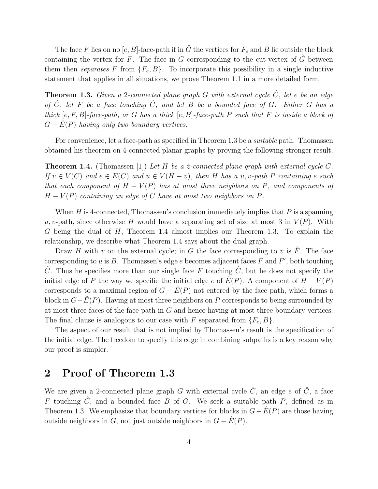The face F lies on no  $[e, B]$ -face-path if in  $\hat{G}$  the vertices for  $F_e$  and B lie outside the block containing the vertex for F. The face in G corresponding to the cut-vertex of  $\tilde{G}$  between them then separates F from  ${F_e, B}$ . To incorporate this possibility in a single inductive statement that applies in all situations, we prove Theorem 1.1 in a more detailed form.

**Theorem 1.3.** Given a 2-connected plane graph G with external cycle  $\hat{C}$ , let e be an edge of  $\hat{C}$ , let F be a face touching  $\hat{C}$ , and let B be a bounded face of G. Either G has a thick  $[e, F, B]$ -face-path, or G has a thick  $[e, B]$ -face-path P such that F is inside a block of  $G - E(P)$  having only two boundary vertices.

For convenience, let a face-path as specified in Theorem 1.3 be a *suitable* path. Thomassen obtained his theorem on 4-connected planar graphs by proving the following stronger result.

**Theorem 1.4.** (Thomassen [1]) Let H be a 2-connected plane graph with external cycle C. If  $v \in V(C)$  and  $e \in E(C)$  and  $u \in V(H - v)$ , then H has a u, v-path P containing e such that each component of  $H - V(P)$  has at most three neighbors on P, and components of  $H - V(P)$  containing an edge of C have at most two neighbors on P.

When H is 4-connected, Thomassen's conclusion immediately implies that  $P$  is a spanning u, v-path, since otherwise H would have a separating set of size at most 3 in  $V(P)$ . With G being the dual of  $H$ , Theorem 1.4 almost implies our Theorem 1.3. To explain the relationship, we describe what Theorem 1.4 says about the dual graph.

Draw H with v on the external cycle; in G the face corresponding to v is  $\hat{F}$ . The face corresponding to u is B. Thomassen's edge e becomes adjacent faces F and F', both touching  $\tilde{C}$ . Thus he specifies more than our single face F touching  $\tilde{C}$ , but he does not specify the initial edge of P the way we specific the initial edge e of  $\hat{E}(P)$ . A component of  $H - V(P)$ corresponds to a maximal region of  $G - \hat{E}(P)$  not entered by the face path, which forms a block in  $G-\hat{E}(P)$ . Having at most three neighbors on P corresponds to being surrounded by at most three faces of the face-path in G and hence having at most three boundary vertices. The final clause is analogous to our case with F separated from  $\{F_e, B\}$ .

The aspect of our result that is not implied by Thomassen's result is the specification of the initial edge. The freedom to specify this edge in combining subpaths is a key reason why our proof is simpler.

## 2 Proof of Theorem 1.3

We are given a 2-connected plane graph G with external cycle  $\hat{C}$ , an edge e of  $\hat{C}$ , a face F touching  $\hat{C}$ , and a bounded face B of G. We seek a suitable path P, defined as in Theorem 1.3. We emphasize that boundary vertices for blocks in  $G-\hat{E}(P)$  are those having outside neighbors in G, not just outside neighbors in  $G - \hat{E}(P)$ .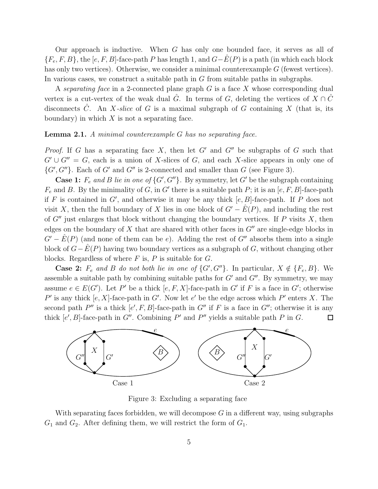Our approach is inductive. When  $G$  has only one bounded face, it serves as all of  ${F_e, F, B}$ , the [e, F, B]-face-path P has length 1, and  $G-E(P)$  is a path (in which each block has only two vertices). Otherwise, we consider a minimal counterexample  $G$  (fewest vertices). In various cases, we construct a suitable path in G from suitable paths in subgraphs.

A separating face in a 2-connected plane graph  $G$  is a face  $X$  whose corresponding dual vertex is a cut-vertex of the weak dual  $\hat{G}$ . In terms of G, deleting the vertices of  $X \cap \hat{C}$ disconnects  $\hat{C}$ . An X-slice of G is a maximal subgraph of G containing X (that is, its boundary) in which  $X$  is not a separating face.

#### **Lemma 2.1.** A minimal counterexample G has no separating face.

*Proof.* If G has a separating face X, then let G' and G'' be subgraphs of G such that  $G' \cup G'' = G$ , each is a union of X-slices of G, and each X-slice appears in only one of  $\{G', G''\}$ . Each of G' and G'' is 2-connected and smaller than G (see Figure 3).

**Case 1:**  $F_e$  and B lie in one of  $\{G', G''\}$ . By symmetry, let G' be the subgraph containing  $F_e$  and B. By the minimality of G, in G' there is a suitable path P; it is an  $[e, F, B]$ -face-path if F is contained in  $G'$ , and otherwise it may be any thick  $[e, B]$ -face-path. If P does not visit X, then the full boundary of X lies in one block of  $G' - \hat{E}(P)$ , and including the rest of  $G''$  just enlarges that block without changing the boundary vertices. If P visits X, then edges on the boundary of X that are shared with other faces in  $G''$  are single-edge blocks in  $G' - \hat{E}(P)$  (and none of them can be e). Adding the rest of  $G''$  absorbs them into a single block of  $G-\hat{E}(P)$  having two boundary vertices as a subgraph of G, without changing other blocks. Regardless of where  $F$  is,  $P$  is suitable for  $G$ .

**Case 2:**  $F_e$  and B do not both lie in one of  $\{G', G''\}$ . In particular,  $X \notin \{F_e, B\}$ . We assemble a suitable path by combining suitable paths for  $G'$  and  $G''$ . By symmetry, we may assume  $e \in E(G')$ . Let P' be a thick  $[e, F, X]$ -face-path in G' if F is a face in G'; otherwise P' is any thick  $[e, X]$ -face-path in G'. Now let e' be the edge across which P' enters X. The second path  $P''$  is a thick  $[e', F, B]$ -face-path in  $G''$  if F is a face in  $G''$ ; otherwise it is any thick  $[e', B]$ -face-path in G''. Combining P' and P'' yields a suitable path P in G.  $\Box$ 



Figure 3: Excluding a separating face

With separating faces forbidden, we will decompose  $G$  in a different way, using subgraphs  $G_1$  and  $G_2$ . After defining them, we will restrict the form of  $G_1$ .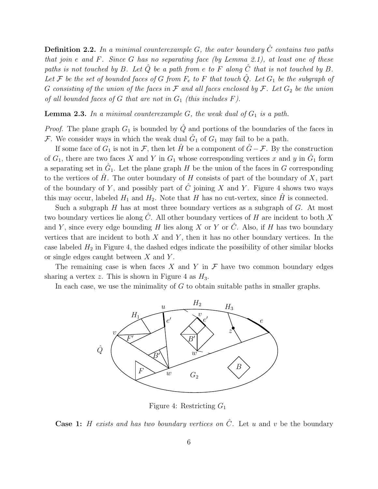**Definition 2.2.** In a minimal counterexample G, the outer boundary  $\hat{C}$  contains two paths that join  $e$  and  $F$ . Since  $G$  has no separating face (by Lemma 2.1), at least one of these paths is not touched by B. Let  $\hat{Q}$  be a path from e to F along  $\hat{C}$  that is not touched by B. Let F be the set of bounded faces of G from  $F_e$  to F that touch  $\hat{Q}$ . Let  $G_1$  be the subgraph of G consisting of the union of the faces in  $\mathcal F$  and all faces enclosed by  $\mathcal F$ . Let  $G_2$  be the union of all bounded faces of G that are not in  $G_1$  (this includes F).

**Lemma 2.3.** In a minimal counterexample  $G$ , the weak dual of  $G_1$  is a path.

*Proof.* The plane graph  $G_1$  is bounded by  $\hat{Q}$  and portions of the boundaries of the faces in F. We consider ways in which the weak dual  $\hat{G}_1$  of  $G_1$  may fail to be a path.

If some face of  $G_1$  is not in F, then let  $\hat{H}$  be a component of  $\hat{G} - \mathcal{F}$ . By the construction of  $G_1$ , there are two faces X and Y in  $G_1$  whose corresponding vertices x and y in  $\hat{G}_1$  form a separating set in  $\hat{G}_1$ . Let the plane graph H be the union of the faces in G corresponding to the vertices of  $\hat{H}$ . The outer boundary of H consists of part of the boundary of X, part of the boundary of Y, and possibly part of  $\tilde{C}$  joining X and Y. Figure 4 shows two ways this may occur, labeled  $H_1$  and  $H_2$ . Note that H has no cut-vertex, since  $\hat{H}$  is connected.

Such a subgraph  $H$  has at most three boundary vertices as a subgraph of  $G$ . At most two boundary vertices lie along  $\hat{C}$ . All other boundary vertices of H are incident to both X and Y, since every edge bounding H lies along X or Y or  $\tilde{C}$ . Also, if H has two boundary vertices that are incident to both  $X$  and  $Y$ , then it has no other boundary vertices. In the case labeled  $H_2$  in Figure 4, the dashed edges indicate the possibility of other similar blocks or single edges caught between  $X$  and  $Y$ .

The remaining case is when faces X and Y in  $\mathcal F$  have two common boundary edges sharing a vertex z. This is shown in Figure 4 as  $H_3$ .

In each case, we use the minimality of  $G$  to obtain suitable paths in smaller graphs.



Figure 4: Restricting  $G_1$ 

**Case 1:** H exists and has two boundary vertices on  $\hat{C}$ . Let u and v be the boundary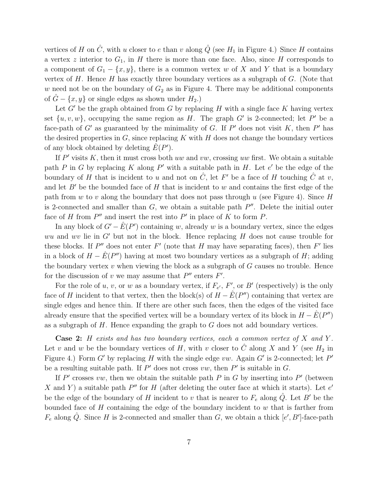vertices of H on  $\hat{C}$ , with u closer to e than v along  $\hat{Q}$  (see H<sub>1</sub> in Figure 4.) Since H contains a vertex z interior to  $G_1$ , in H there is more than one face. Also, since H corresponds to a component of  $G_1 - \{x, y\}$ , there is a common vertex w of X and Y that is a boundary vertex of  $H$ . Hence  $H$  has exactly three boundary vertices as a subgraph of  $G$ . (Note that w need not be on the boundary of  $G_2$  as in Figure 4. There may be additional components of  $G - \{x, y\}$  or single edges as shown under  $H_2$ .)

Let  $G'$  be the graph obtained from  $G$  by replacing  $H$  with a single face  $K$  having vertex set  $\{u, v, w\}$ , occupying the same region as H. The graph G' is 2-connected; let P' be a face-path of  $G'$  as guaranteed by the minimality of G. If  $P'$  does not visit K, then  $P'$  has the desired properties in  $G$ , since replacing K with H does not change the boundary vertices of any block obtained by deleting  $\hat{E}(P')$ .

If  $P'$  visits K, then it must cross both uw and vw, crossing uw first. We obtain a suitable path P in G by replacing K along P' with a suitable path in H. Let  $e'$  be the edge of the boundary of H that is incident to u and not on  $\hat{C}$ , let F' be a face of H touching  $\hat{C}$  at v, and let  $B'$  be the bounded face of H that is incident to w and contains the first edge of the path from w to v along the boundary that does not pass through u (see Figure 4). Since  $H$ is 2-connected and smaller than  $G$ , we obtain a suitable path  $P''$ . Delete the initial outer face of H from  $P''$  and insert the rest into  $P'$  in place of K to form P.

In any block of  $G' - \hat{E}(P')$  containing w, already w is a boundary vertex, since the edges wu and wv lie in  $G'$  but not in the block. Hence replacing  $H$  does not cause trouble for these blocks. If  $P''$  does not enter  $F'$  (note that H may have separating faces), then  $F'$  lies in a block of  $H - \hat{E}(P'')$  having at most two boundary vertices as a subgraph of H; adding the boundary vertex  $v$  when viewing the block as a subgraph of  $G$  causes no trouble. Hence for the discussion of v we may assume that  $P''$  enters  $F'$ .

For the role of u, v, or w as a boundary vertex, if  $F_{e'}$ ,  $F'$ , or  $B'$  (respectively) is the only face of H incident to that vertex, then the block(s) of  $H - \hat{E}(P'')$  containing that vertex are single edges and hence thin. If there are other such faces, then the edges of the visited face already ensure that the specified vertex will be a boundary vertex of its block in  $H - \hat{E}(P'')$ as a subgraph of  $H$ . Hence expanding the graph to  $G$  does not add boundary vertices.

**Case 2:** H exists and has two boundary vertices, each a common vertex of  $X$  and  $Y$ . Let v and w be the boundary vertices of H, with v closer to  $\hat{C}$  along X and Y (see  $H_2$  in Figure 4.) Form G' by replacing H with the single edge  $vw$ . Again G' is 2-connected; let P' be a resulting suitable path. If  $P'$  does not cross  $vw$ , then  $P'$  is suitable in  $G$ .

If  $P'$  crosses vw, then we obtain the suitable path  $P$  in  $G$  by inserting into  $P'$  (between X and Y) a suitable path  $P''$  for H (after deleting the outer face at which it starts). Let  $e'$ be the edge of the boundary of H incident to v that is nearer to  $F_e$  along  $\hat{Q}$ . Let B' be the bounded face of  $H$  containing the edge of the boundary incident to  $w$  that is farther from  $F_e$  along  $\hat{Q}$ . Since H is 2-connected and smaller than G, we obtain a thick  $[e', B']$ -face-path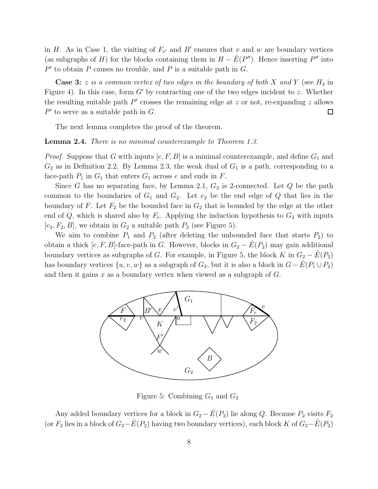in H. As in Case 1, the visiting of  $F_{e'}$  and B' ensures that v and w are boundary vertices (as subgraphs of H) for the blocks containing them in  $H - \hat{E}(P'')$ . Hence inserting P'' into  $P'$  to obtain P causes no trouble, and P is a suitable path in G.

**Case 3:** z is a common vertex of two edges in the boundary of both X and Y (see  $H_3$  in Figure 4). In this case, form G' by contracting one of the two edges incident to z. Whether the resulting suitable path  $P'$  crosses the remaining edge at z or not, re-expanding z allows  $P'$  to serve as a suitable path in  $G$ . 口

The next lemma completes the proof of the theorem.

Lemma 2.4. There is no minimal counterexample to Theorem 1.3.

*Proof.* Suppose that G with inputs  $[e, F, B]$  is a minimal counterexample, and define  $G_1$  and  $G_2$  as in Definition 2.2. By Lemma 2.3, the weak dual of  $G_1$  is a path, corresponding to a face-path  $P_1$  in  $G_1$  that enters  $G_1$  across e and ends in  $F$ .

Since G has no separating face, by Lemma 2.1,  $G_2$  is 2-connected. Let Q be the path common to the boundaries of  $G_1$  and  $G_2$ . Let  $e_2$  be the end edge of Q that lies in the boundary of F. Let  $F_2$  be the bounded face in  $G_2$  that is bounded by the edge at the other end of  $Q$ , which is shared also by  $F_e$ . Applying the induction hypothesis to  $G_2$  with inputs  $[e_2, F_2, B]$ , we obtain in  $G_2$  a suitable path  $P_2$  (see Figure 5).

We aim to combine  $P_1$  and  $P_2$  (after deleting the unbounded face that starts  $P_2$ ) to obtain a thick  $[e, F, B]$ -face-path in G. However, blocks in  $G_2 - E(P_2)$  may gain additional boundary vertices as subgraphs of G. For example, in Figure 5, the block K in  $G_2 - E(P_2)$ has boundary vertices  $\{u, v, w\}$  as a subgraph of  $G_2$ , but it is also a block in  $G - \hat{E}(P_1 \cup P_2)$ and then it gains x as a boundary vertex when viewed as a subgraph of  $G$ .



Figure 5: Combining  $G_1$  and  $G_2$ 

Any added boundary vertices for a block in  $G_2 - \hat{E}(P_2)$  lie along Q. Because  $P_2$  visits  $F_2$ (or  $F_2$  lies in a block of  $G_2-\hat{E}(P_2)$  having two boundary vertices), each block K of  $G_2-\hat{E}(P_2)$